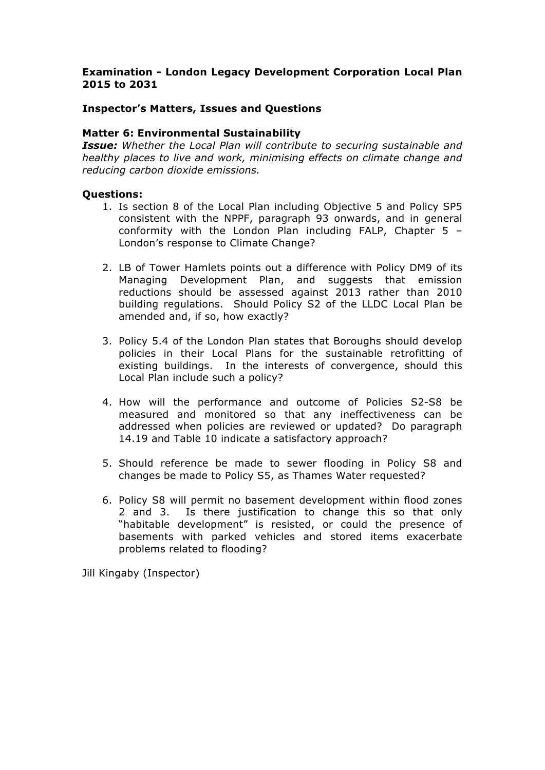# **Examination - London Legacy Development Corporation Local Plan 2015 to 2031**

## **Inspector's Matters, Issues and Questions**

### **Matter 6: Environmental Sustainability**

*Issue: Whether the Local Plan will contribute to securing sustainable and healthy places to live and work, minimising effects on climate change and reducing carbon dioxide emissions.*

#### **Questions:**

- 1. Is section 8 of the Local Plan including Objective 5 and Policy SP5 consistent with the NPPF, paragraph 93 onwards, and in general conformity with the London Plan including FALP, Chapter 5 – London's response to Climate Change?
- 2. LB of Tower Hamlets points out a difference with Policy DM9 of its Managing Development Plan, and suggests that emission reductions should be assessed against 2013 rather than 2010 building regulations. Should Policy S2 of the LLDC Local Plan be amended and, if so, how exactly?
- 3. Policy 5.4 of the London Plan states that Boroughs should develop policies in their Local Plans for the sustainable retrofitting of existing buildings. In the interests of convergence, should this Local Plan include such a policy?
- 4. How will the performance and outcome of Policies S2-S8 be measured and monitored so that any ineffectiveness can be addressed when policies are reviewed or updated? Do paragraph 14.19 and Table 10 indicate a satisfactory approach?
- 5. Should reference be made to sewer flooding in Policy S8 and changes be made to Policy S5, as Thames Water requested?
- 6. Policy S8 will permit no basement development within flood zones 2 and 3. Is there justification to change this so that only "habitable development" is resisted, or could the presence of basements with parked vehicles and stored items exacerbate problems related to flooding?

Jill Kingaby (Inspector)